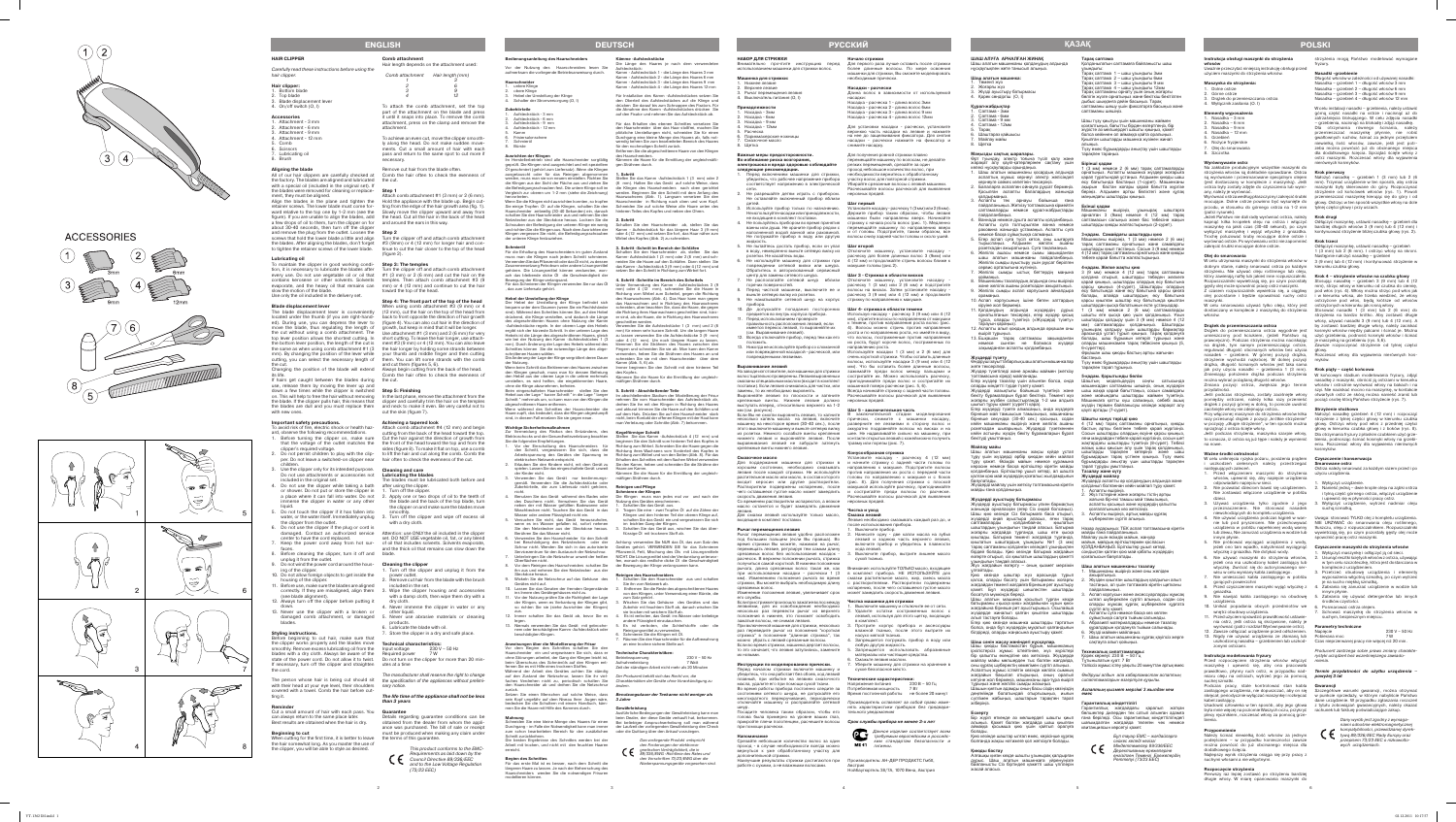

# **ACCESSORIES**





#### **Instrukcja obsługi maszynki do strzyżenia włosów**

Uważnie przeczytać niniejszą instrukcję obsługi przed użyciem maszynki do strzyżenia włosów.

Dolne ostrze 2. Górne ostrze

- **Elementy wyposażenia**
- Nasadka 3 mm 2. Nasadka – 6 mm
- Nasadka 9 mr
- 4. Nasadka 12 mm **Grzebień**

# **Maszynka do strzyżenia:**

3. Drążek do przemieszczania ostrza 4. Wyłącznik zasilania (O. I)

6. Nożyce fryzjerskie

7. Olej do smarowania 8. Szczotka

### **Wyrównywanie ostrz**

Na zakładzie produkcyjnym wszystkie maszynki do strzyżenia włosów są dokładnie sprawdzane. Ostrza **Krok pierwszy** są wyrównane i przesmarowane specjalnym olejem Nałożyć nasadkę – grzebień 1 (3 mm) lub 2 (6 (jest dostarczany w komplecie z maszynką). Jeśli – mm). Trzymać urządzenie w ten sposób, aby ostrza<br>ostrza były zostały zdjęte do czyszczenia lub wymi- – maszynki były skierowane do góry. Rozpoczynać any, należy je wyrównać.

dostarczany w komplecie z maszynką do strzyżenia Stosować nasadki 1 (3 mm) lub 2 (6 mm) do Drążek do przemieszczania ostrza wygodnie jest kosmyki włosów między palcami i ścinać je. Można strzyżenia na bardzo krótko. Aby zostawić długie włosy, używać nasadki 3 (9 mm) lub 4 (12 mm). A by zostawić bardziej długie włosy, należy zaciska

nasadkę z maszynki, obrócić ją ostrzami w kierunk włosów i ostrożnie wyrównać włosy na bakach i na szyi. Nie naciskać mocno na maszynkę, w kontakci

przodu, w stosunku do górnego ostrza na 1-2 mm tylnej części głowy i przy uszach. (patrz rysunek).

Jeżeli Państwo nie dali radę wyrównać ostrza, należy **Krok drugi** kapnąć kilka kropelek oleju na ostrza i włączyć Odłączyć maszynkę, ustawić nasadkę – grzebień dla maszynkę na jakiś czas (30-40 sekund), po czym bardziej długich włosów 3 (9 mm) lub 4 (12 mm) i wyłączyć maszynkę i wyjąć wtyczkę z gniazdka. kontynuować strzyżenie bliżej czubka głowy (rys. 2). Trochę poluzować śruby mocujące dolne ostrze i wyrównać ostrze. Po wyrównaniu ostrz nie zapomnieć **Krok trzeci** zakręcić śrubki mocujące dolne ostrze.

## **Olej do smarowania**

maszynki. W celu smarowania używać tylko oleju, który jest

nie lub pod prysznicem. Nie przechowywać NIE URZYWAĆ do smarowania oleju roślinnego, urządzenia w pobliżu napełnionej wodą wanny tłuszczu, oleju z rozpuszczalnikiem. Rozpuszczalniki lub zlewu, Nie zanurzać urządzenia w wodzie lub wywietrzają się, po czym pozostały gęsty olej może owolnić pracę ostrz maszynki.

włosów.

# **Drążek do przemieszczania ostrza**

umieszczony pod kciukiem, (jeżeli Państwo są użyć grzebienia, podnosić kosmyki włosów i ścinać praworęczni). Podczas strzyżenia można naciskając – je maszynką na grzebieniu (rys. 5,6).<br>na drążek, tym samym przemieszczając ostrze, Zawsze rozpoczynać strzyżenie od tylnej części regulować długość obcinanych włosów bez użycia głowy.<br>nasadek – grzebieni. W górnej pozycji drążka, Rozczesać włosy dla wyjawienia nierównych kosstrzyżenie wychodzi najkrócej. W dolnej pozycji myków. drążka, długość ścinanych włosów jest taka sama jak przy użyciu nasadki – grzebienia 1 (3 mm). **Krok piąty – część końcowa** Zmieniając położenie drążka podczas strzyżenia W końcowym stadium modelowania fryzury, zdjąć można wybrać pożądaną długość włosów. Zmiana pozycji ostrza, zwiększa jego termin przydatności.

Przed rozpoczęciem strzyżenia włosów włączyć mienia. maszynkę i upewnić się, aby ona pracowała miaru oleju na ostrzach, wytrzeć jego za pomocą **powyżej 3 lat** suchej szmatki.

Jeśli podczas strzyżenia, zostały zaciśnięte włosy otwartych ostrz ze skórą można nanieść zranić lub pomiędzy ostrzami, należy kilka razy przenieść drążek z pozycji górnej w dolną, to pomoże uwolnić pociąć osobę którą Państwo strzyżecie (rys. 7). zaciśnięte włosy nie zdejmując ostrza..

**Przypomnienie**<br>Należy ścinać niewielką ilość włosów za jednym<br>podejściem – w przypadku konieczności zawsze można powrócić do już obcinanego miejsca dla dodatkowego ścięcia. Najlepszy wynik strzyżenia osiąga się przy pracy z suchymi włosami a nie wilgotnymi.

Przy włączonej maszynce do strzyżenia włosów kilka Nałożyć nasadkę grzebień 4 (12 mm) i rozpocząć razy przesunąć drążek z pozycji "krótkie strzyżenie" strzyżenie z tylnej części głowy w kierunku czubka w pozycję "długie strzyżenie", w ten sposób można sprzątnąć z ostrza ścięte włosy.

strzyżenia mogą Państwo modelować wymagan fryzury.

Jeśli podczas strzyżenia, maszynka szarpie włosy, to oznacza, iż ostrza są już tępe i należy je wymienić bienia, podnosząc ścinać kosmyki włosy na grzebi na nowe.

### **Ważne środki ostrożności**

W celu uniknięcia ryzyka pożaru, porażenia prądem **Czyszczenie i konserwacja** uszkodzeń cielesnych należy przestrzegać następujących zaleceń.

W celu instalacji nasadki – grzebienia, należy ustawi górną część nasadki na ostrze i nacisnąć aż do zatrzaśnięcia blokującego. W celu zdjęcia nasadki – grzebienia, nacisnąć na blokadę i zdjąć nasadkę. Dla otrzymania równego ścinania, należy przemieszczać maszynkę płynnie, nie robie .<br>gwałtownych ruchów, ścinać za jednym przejścien niewielką ilość włosów, zawsze, jeśli jest potr - zeba można powrócić już do obcinanego miejsca dla dodatkowego ścięcia. Sprzątać ścięte włosy z ostrz maszynki. Rozczesać włosy dla wyjawienia nierównych kosmyków.

Odłączyć maszynkę, ustawić nasadkę – grzebień 1 (3 mm) lub 2 (6 mm). I ostrzyc włosy na skroni. stępnie nałożyć nasadkę – grzebień

Wyrównać ostrza według płaszczyzny i zakręcić śrubki przemieszczać maszynkę kierując się do góry i od mocujące. Dolne ostrze powinno być wysunięte do głowy. Ostrzyc w ten sposób wszystkie włosy na dole strzyżenie od końcówek włosów (rys. 1). Powoli

- 1. Przed włączeniem maszynki do strzyżenia włosów, upewnić się, aby napięcie urządzenia
- odpowiadało napięciu w sieci. 2. Nie pozwalać dzieciom bawić się urządzeniem. Nie zostawiać włączone urządzenie w pobliżu
- dzieci. 3. Używać urządzenia tylko zgodnie z jego przeznaczeniem. Nie stosować nasadek
- niewchodzących do kompletu urządzenia. 4. Nie używać urządzenia podczas kąpieli w wan - Uwaga: stosować TYLKO olej z kompletu urządzenia.
- innym płynie. 5. Nie próbować wyciągać urządzenia z wody,
- jeżeli ono tam wpadło, natychmiast wyciągnąć wtyczkę z gniazdka. Nie dotykać wody. 6. Nie używać maszynki do strzyżenia włosów, jeżeli ona ma uszkodzony kabel zasilający lub
- wtyczkę. Zwrócić się do autoryzowanego ser wisu w celu wymiany kabla zasilającego. 7. Nie umieszczać kabla zasilającego w pobliżu
- gorących powierzchni 8. Przed czyszczeniem maszynki wyjąć wtyczkę z 4. Zabrania się zanurzać urządzenie w wodzie lub gniazdka.
- 9. Nie nawijać kabla zasilającego na obudowę 5. Zabrania się używać detergentów lub innych urządzenia.
- 10. Unikać popadania obcych przedmiotów we 6. Posmarować ostrza olejem. wnętrz obudowy urządzenia. 11. Przed użyciem sprawdzić prawidłowość ustawie -
- nia ostrz, jeśli ostrza są skrzywione, należy je wyrównać (patrz rozdział Wyrównywanie ostrz). **Parametry techniczne** Zawsze odłaczać urządzenie przed odłożeniem. Napiecie
- 13. Nigdy nie używać urządzenia ze złamaną lub Pobierana moc 7 W uszkodzoną nasadka – grzebieniem lub uszkod - Czas nieprzerwanej pracy nie więcej niż 20 min. zonymi ostrzami.

W celu utrzymania maszynki do strzyżenia włosów w 3 (9 mm) lub 4 (12 mm) i kontynuować strzyżenie w dobrym stanie, należy smarować ostrza po każdym strzyżeniu. Nie używać oleju roślinnego lub oleju, który zawierają naftę lub jakieś inne rozpuszczalniki. Rozpuszczalniki wywietrzają się, po czym pozostały Stosując nasadkę – grzebień 3 (9 mm) lub 4 (12 mm), strzyc włosy w kierunku od czubka do ciemię, gęsty olej może spowolnić pracę ostrz maszynki. Z czasem rozpuszczalnik wywietrza się, a ciągliwy pod włos (rys. 4). Włosy można strzyc pod włos jak

olej pozostanie i będzie spowalniać ruchy ostrz i w kierunku włosa, ale trzeba wiedzieć, że włosy ostrzyżone pod włos, będą krótsze od włosów ostrzyżonych w kierunku jak rosną włosy.

### **Instrukcja modelowania fryzury**

Podczas pracy, stale kontrolować stan kabla **Gwarancji**  zasilającego urządzenia, nie dopuszczać, aby on się Szczegółowe warunki gwarancji, można otrzymać skręcał, periodycznie wyłączać maszynkę i rozkręcać w punkcie sprzeda ży, w którym nabyliście Państwo kabel zasilający.

była mnie więcej na poziomie Waszych oczu, przykryć rachunek lub fakturę poświadczające zakup. plecy ręcznikiem, rozczesać włosy za pomocą grze bienia.

нұсқаулықпен жете танысып алыңыз. **Шаш алатын машинка:** менгі жүз

### **Rozpoczęcie strzyżenia**

6. Шаштараз қайшысы Майлау майы

> Pierwszy raz lepiej zostawić po strzyżeniu bardziej długie włosy. W miarę opanowania maszynki do

### **Nasadki -grzebienie**

Długość włosów w zależności od używanej nasadki: Nasadka – grzebień 1 – długość włosów 3 mm Nasadka – grzebień 2 – długość włosów 6 mm Nasadka – grzebień 3 – długość włosów 9 mm Nasadka – grzebień 4 – długość włosów 12 mm

Егер жүздер тазалау үшін алынған болса, онда Шаштың модельдеудің соңғы сатысында оларды міндетті түрде түзету қажет. Жүздерді жазықтығы бойынша түзетіңіз және машинкадан саптаманы шешіңіз, оның жүздерін шаш жаққа қарай бағыттаңыз, сосын самайдағы бекіту бұрамаларын бұрап бекітіңіз. Төменгі жүз және мойындағы шаштарды жаймен түзетіңіз.<br>жоғарғы жүзбен салыстырғанда 1-2 мм алдыға Машинкаға қатты күш салмаңыз, себебі ашық kierunku czubka głowy.

### **Krok 4 – strzyżenie włosów na czubku głowy**

Usadowić człowieka w ten sposób, aby jego głowa z tytułu zobowiązań gwarancyjnych, należy okazać dane urządzenie. W przypadku zgłaszania roszczeń



### **Strzyżenie stożkowo**

głowy. Ostrzyc włosy pod włos z przedniej części głowy w kierunku czubka głowy i z boków (rys. 8). Dla otrzymania fryzury z płaskim czubkiem użyć grze eniu. Rozczesać włosy dla wyjawienia nierównych kosmyków.

**Smarowane ostrz** Ostrza należy smarować za każdym razem przed i po użyciu urządzenia.

- 1. Wyłączyć urządzenie.
- 2. Nanieść jedną dwie krople oleju na ząbki ostrza i tylną część górnego ostrza, włączyć urządzenie i pewnić się w płynności pracy ostrz. 3. Wyłączyć urządzenie, wytrzeć nadmiar oleji
- suchą szmatką.

## **Czyszczenie maszynki do strzyżenia włosów**

- 1. Wyłączyć maszynkę i odłączyć ją od sieci. Usunąć resztki ściętych włosów z ostrza, używają
- w tym celu szczoteczkę, która jest dostarczana w komplecie z urządzenie 3. Przetrzeć obudowę urządzenia i elementy
- wyposażenia wilgotną szmatką, po czym wytrze je na sucho miękką szmatką.
- innym płynie.
- środków czystości.
- 7. Schować maszynkę do strzyżenia włosów w suchym, bezpiecznym miejscu.

230 V ~ 50 Hz

қозғалатынына көз жеткізіңі: Аспапты өшіріңіз, артық майды құрғақ шүберекпен сүртіп алыңыз.

майын, майдың еріткіштермен қоспась сондықтан қалған қою май қабаты жүздердің

**Шаш алатын машинканы тазалау** . Машинканы өшірініз және оны желіден

## Producent zastrzega sobie prawo zmiany charakte rystyki urządzeń bez wcześniejszego zawiado-

# prawidłowo, płynny ruch ostrz, w przypadku nad- **Termin przydatności do użytku urządzenia** –

Dany wyrób jest zgodny z wymaga Dany wyrób jest zgodny z wymaga-<br>niami odnośnie elektromagnetycznej<br>kompatybilności, przewidzianej dyrek-<br>tywą 89/336/EEC Rady Europy oraz<br>przepisem 73/23 EEC o nizkowoltowych urządzeniach.

**Принадлежности** 1. Насадка - 3мм 2. Насадка - 6мм 3. Насадка - 9 мм 4. Насадка - 12мм Расческа

#### **ШАШ АЛУҒА АРНАЛҒАН ЖИНАҚ**  Шаш алатын машинканы қолданудың алдында

|                 | 2. Жоғарғы жүз              |  |  |  |
|-----------------|-----------------------------|--|--|--|
|                 | 3. Жузді ауыстыру батырмасы |  |  |  |
|                 | 4. Қорек сөндіргіш (O, I)   |  |  |  |
|                 |                             |  |  |  |
| Құрал-жабдықтар |                             |  |  |  |
|                 | 1. Саптама - Змм            |  |  |  |
|                 | 2. Саптама - 6мм            |  |  |  |

не входящие в комплект поставки. Не пользуйтесь прибором во время принятия

3. Саптама - 9 мм 4. Саптама - 12мм 5. Тарақ

# 8. Щетка

повреждении сетевой вилки или шнура. Обратитесь в авторизованный сервисный .<br>нтр для замены сетевого шнура.

**Маңызды сақтық шаралары.** Өрт туындау, электр тоғына түсіп қалу және жарақат алу қауіп-қатерлерінен сақтану үшін келесі нұсқауларды орындаңыз.

Рычаг перемещения лезвия удобно расположен под большим пальцем (если Вы правша). Во время стрижки Вы можете, нажимая на рычаг, перемещать лезвие, регулируя тем самым длину срезаемых волос без использования насадок расчесок. В верхнем положении рычага, стрижка пучиться самой короткой. В нижнем положении

рычага, длина срезаемых волос такая же, как Внимание: используйте ТОЛЬКО масло, входящее при использовании насадки - расчески 1 (3 в комплект прибора. НЕ ИСПОЛЬЗУЙТЕ для<br>мм). Изменением положения рычага во время смазки растительное масло, жир, смесь масла стрижки, Вы можете выбрать необходимую длину с растворителями. Растворители подвержены испарению, после чего оставшееся густое масло может замеллить скорость лвижения лезви

тарауын қараңыз).

өшіріп тұрыңыз.

13. Ешқашан тарақ саптамасы зақымданған

зақымданған аспапты қолданбаңыз.

птамасына кіреді) майланады.

**Жүздерді түзету**

жете тексеріледі.

Жүздер түзетіледі және арнайы маймен (жеткізу

шығып тұруы қажет (суретті қара).

орнатылғанын тексеріңіз, егер жүздер қисық шашты өте қысқа қию үшін қолданыңыз. Ұзын<br>тұрса, оларды түзетіңіз («Жүздерді түзету» шаштарды қалдыру үшін 3 (9 мм) немесе 4 (12

бірнеше май тамшысын тамызыңыз, машинканы

кейін машинканы өшіріңіз және желілік ашаны

кейін астыңғы жүздің бекіту бұрамаларын бұрап

бекітуді ұмытпаңыз. **Майлау майы**

Шаш алатын машинканы жақсы күйде ұстап тұру үшін жүздерді әрбір қиюдан кейін майлап тұру қажет. Өсімдік майын немесе құрамына керосин немесе басқа еріткіштер кіретін майды қолданбаңыз. Еріткіштер ұшып кетеді, ал шашта

Жүздерді майлау үшін жеткізу топтамасына кіретін

майды ғана қолданыңыз.

**Жүздерді ауыстыру батырмасы**  Жүздерді ауыстыру батырмасы үлкен бармақтың жанында орналасқан (егер Сіз оңқай болсаңыз). Шаш қию кезінде Сіз батырмаға баса отырып, жүздерді оңай ауыстыра аласыз, яғни тарақ саптамаларды қолданбай-ақ қиылатын шаштардың ұзындығын таңдай аласыз. Батырма

қиылатын шаштардың ұзындығы №1 (3 мм)

бірдей болады. Қию кезінде батырма жағдайын

ұзындығын таңдай аласыз.

Жүз жағдайын өзгерту – оның қызмет мерзімін

ұлғайтады.

Қию кезінде шаштар жүз арасында тұрып

- 1. Шаш алатын машинканы қосардың алдында аспаптың жұмыс кернеуі электр желісіндегі кернеуге сәйкес келетінін тексеріңіз.
- .<br>Балаларға аспаппен ойнауға рұқсат бермеңіз. Қосылған аспапты балалардың жанында
- қалдырмаңыз. 3. Аспапты тек арнауы бойынша ғана пайдаланыңыз. Жеткізу топтамасына кірмейтін **Екінші қадам** саптамаларды немесе құрал-жабдықтарды
- пайдаланбаңыз. 4. Ваннада немесе душта аспапты қолданбаңыз. Аспапты суға толтырылған ванна немесе шаштарды қиюды жалғастырыңыз (2-сурет). раковина жанында ұстамаңыз. Аспапты суға
- немесе басқа сұйықтыққа салмаңыз. 5. Егер аспап суға түсіп кетсе, оны шығаруға Машинканы өшіріңіз, 1 (3 мм) немесе 2 (6 мм)
- тырыспаңыз. Алдымен желілік ашаны розеткадан ажыратыңыз. Суға тақалмаңыз. тарақ саптаманы орнатыңыз және самайдағы 6. Желілік ашасы немесе сымы зақымданған 4 (12 мм) тарақ саптаманы орнатыңыз және қиюды
- шаш алатын машинканы пайдаланбаңыз. Желілік сымды ауыстыру үшін рұқсат берілген
- ервис орталығына жүгініңі 7. Желілік сымды ыстық беттердің маңына 3 (9 мм) немесе 4 (12 мм) тарақ саптаманы
- қоймаңыз. 8. Машинканы тазалаудың алдында оны өшіріңіз
- және желілік ашаны розеткадан ажыратыңыз. қарсы қиыңыз (4-сурет). Шаштарды олардың 9. Желілік сымды аспап корпусына айналдыра өсу бағытында және өсу бағытына қарсы қиюға

. Аспапты алып қоюдың алдында әрқашан оны

ші зауытта барлық шаш алатын машинкалар

жағдайдан төменгі жағдайға бірнеше рет ауыстыру қажет. Бұл жүздерді шешпестен шаштарды

босатуға мүмкіндік береді.

Шаш алатын машинка қосылып тұрған кезде батырманы «қысқа қию» жағдайынан «ұзын қию» жағдайына бірнеше рет ауыстырыңыз. Осылайша жүздерде жиналып қалған қиылған шаштарды

алып тастауға болады.

Выключите прибор. 2. Нанесите одну - две капли масла на зубья орамаңыз. 10. Аспап корпусының ішіне бөтен заттардың қарсы қиылған шаштар өсу бағытында қиылған кіруіне жол бермеңіз. 11. Қолданудың алдында жүздердің дұрыс шаштардан қысқа болатынын есте ұстаңыздар. 1 (3 мм) немесе 2 (6 мм) саптамаларды

болса, онда бұл жүздердің мұқалып қалғандығын білдіреді, оларды жаңасына ауыстыру қажет. **Шаш сәнін жасау жөніндегі нұсқаулар.**<br>Шаш киюды бастамастан бурын машинканын қиюды бастамастан бұрын іркілістерсіз жұмыс істейтініне, жүз жүрістері бір қалыпты екендігіне көз жеткізіңіз. Жүздерде майлау майы мөлшерден тыс болған жағдайда, оны құрғақ шүберектің көмегімен сүртіп алыңыз. Аспаптың жұмыс істейтін кезінде желілік сымның

немесе сынған не болмаса жүздері оларды машинкамен тарақ төбесінен қиыңыз (5,

тұрыңыз және желілік сымды жазыңыз.

- лезвиями, для их освобождения необходимо 1. Выключите машинку и отключите ее от сети.<br>несколько раз перевести рычаг из верхнего 2. Удалите остатки состриженных волос с лезвий, используя для этого щетку, входящую
- При включенной машинке для стрижки, несколько 3. Протрите корпус прибора и аксессуары в комплект. влажной тканью, после этого вытрите их насухо мягкой тканью.
- стрижка" в положение "длинная стрижка", так 4. Запрещается погружать прибор в воду или любую другую жидкость.
- то это означает, что лезвия затупились, замените 5. Запрещается использовать абразивные материалы или чистящие средства.
	- 6. Смажьте лезвия маслом. 7. Уберите машинку для стрижки на хранение в сухое безопасное место.

деңгейінде болатындай отырғызыңыз, иығын *емес*  сүлгімен жабыңыз, шаштарын тарақпен тарап

отключайте машинку и расправляйте сетевой Производитель оставляет за собой право измешнур. Посадите человека таким образом, чтобы его тельного уведомления нять характеристики приборов без предвари -

# голова была примерно на уровне ваших глаз,<br>прикройте плечи полотенцем, расчешите волосы **Срокслужбы прибора не менее 3-хлет**

жіберіңіз. **Ескерту**

# **Bedienungsanleitung des Haarschneider** Vor der Nutzung des Haarschneiders lesen Sie

болады.

Қию кезінде шаштар ылғал емес, керісінше құрғақ болғанда жақсы нәтижеге қол жеткізуге болады.

**Қиюды бастау**

Егер жүздерді түзете алмасаңыз, онда жүздерге қаупі артады (7-сурет).

Алғашқы қиған кезде шашты ұзынырақ қалдырған дұрыс. Шаш алатын машинкаға үйренуіңізге байланысты Сіз біртіндеп қажетті шаш үлгілерін

бірнеше секундқа (30-40 сек.) қосыңыз, содан **Шашты конус тәрізді қию**

жасай аласыз.

**Тарақ саптама**

розеткадан шығарыңыз. Жүздерді түзеткеннен бастың артқы бөлгінен төбеге қарай жүргізіңіз.

Қолданылатын саптамаға байланысты шаш ұзындығы: Тарақ саптама 1 – шаш ұзындығы 3мм Тарақ саптама 2 – шаш ұзындығы 6мм Тарақ саптама 3 – шаш ұзындығы 9 мм Тарақ саптама 4 – шаш ұзындығы 12мм арақ саптаманы орнату үшін оның жоғарғ бөлігін жүзге орнатыңыз және бекіткіш бекітілген дыбыс шыққанға дейін басыңыз. Тарақ саптаманы шешу үшін фиксаторға басыңыз және

саптаманы шешіңіз.

қалған қою май жүздердің қозғалыс жылдамдығын баяулатады. **Жүздерді майлау** Жүздерді аспапты әр қолданудың алдында және

жоғарғы жағдайда тұрғанда, шаш өте қысқа майды-ғана-пайдаланыңыз.<br>қиылады. Батырма төменгі жағдайда тұрғанда, Майлау-үшін-өсімдік-майын,жануар

Netzstecker aus der Steckdose heraus. Lockern Sie die **2. Schritt**<br>Schrauben der Befestigung der unteren Klinge ein wenig Schalten Sie den Haarschneider ab, stellen Sie das Klingen vergessen Sie nicht, die Befestigungsschrauben der unteren Klinge festzuziehen. **Schmieröl** Für die Erhaltung des Haarschneiders im guten Zustand

muss man die Klingen nach jedem Schnitt schmieren. Kamm- Aufsteckstück 1 (3 mm) oder 2 (6 mm) und sch gehören. Die Lösungsmittel können verdunsten, won - setzen Sie den Schnitt in Richtung zum Wirbel fort. Schalten Sie den Haarschneider ab, stellen Sie da Kamm- Aufsteckstück 1 (3 mm) oder 2 (6 mm) und sch-<br>neiden Sie die Haare auf den Schläfen. Dann stellen Sie<br>das Kamm - Aufsteckstück 3 (9 mm) oder 4 (12 mm) und

Verwenden Sie das Pflanzenöl oder das Öl nicht, zu dessen Zusammensetzung Petroleum oder andere Lösungsmittel das bleibende dicke Öl die Geschwindigkeit der vegung der Klinge verlangsamt. Für das Schmieren der Klingen verwenden Sie nur das Öl Unter Verwendung des Kamm - Aufsteckstückes 3 (9 das zum Liefersatz gehört.

Шаш түзу қиылуы үшін машинканы жаймен қозғалтыңыз, бағытты бірден өзгертпеңіз, бір жүрісте аз мөлшердегі шашты қиыңыз, қажет болса кейіннен ол аймаққа қайта оралыңыз. Қиылған шаштарды машинка жүзінен жинап алыңыз. Түзу емес бұрымдарды анықтау үшін шаштарды

тарақпен тараңыз.

-Aufsteckstücke regeln. In der oberen Lage des Hebels Verwenden Sie die Aufsteckstücke 1 (3 mm) und 2 (6 mm). Durch Änderung der Lage des Hebels während des klemmen Sie die Strähnen des Haares zwischen den<br>Schnittes können Sie die notwendige Länge des abge- Fingern und schneiden Sie sie ab. Man kann den Kam Die Änderung der Lage der Klinge vergrößert deren Dauer schneiden Sie sie mit dem Haarschneider über dem mm) für einen sehr kurzen Schnitt. Um die langen Haare zu lassen verwenden Sie die Aufsteckstücke 3 (9 mm) oder 4 (12 mm). Um noch längere Haare zu lassen, verwenden, heben Sie die Strähnen des Haares an und

**Бірінші қадам** 1 (3 мм) немесе 2 (6 мм) тарақ саптамаларды орнатыңыз. Аспапты машинка жүздері жоғарыға қарап тұратындай ұстаңыз. Алдымен қиюды шаш өсу бағытында бастаңыз (1-сурет). Машинканы ақырын бастан жоғары қарай бағытта жүргізе беріңіз. Алдымен артқы бөліктегі және құлақ

тарақ саптаманы қолданған кезіндегі ұзындықпен ҚОЛДАНБАҢЫЗ. Еріткіштер ұшып кетеді,

маңындағы шаштарды қиыңыз.

3-қадам. Самайдағы шаштарды қи**ю** 

өзгерте отырып, сіз қиылатын шаштардың қажетті қозғалысын баяулатады.

Машинканы өшіріңіз, ұзынырақ шаштарға арналған 3 (9мм) немесе 4 (12 мм) тарақ саптамасын салыңыз және бас төбесіне жақын

қалса, оларды босату үшін батырманы жоғарғы 2. Жүзден қиылған шаштардың қалдығын алып

шаштарды қиып тастаңыз. Сосын 3 (9 мм) немесе

төбеге қарай бағытта жалғастырыңыз.

**4-қадам. Желке жақты қию** 

Егер қию кезінде машинка шаштарды тартатын 5. Абразивті материалдарды немесе тазалау

қолдана отырып, шаштарды төбеден желкеге қарай қиыңыз, шаштарды олардың өсу бағытына

болады, алайда шаштардың өсу бағытына

жағдайын бақылап отырыңыз, оның оралып *Өндіруші алдын ала хабарламастан аспаптың*  кетуіне жол бермеңіз, машинканы ара-тұра өшіріп *сипаттамаларын өзгертуге құқылы.*

Шашын қиятын адамды оның басы сіздің көзіңіздің *Аспаптың қызмет мерзімі 3 жылдан кем* 

мм) саптамаларды қолданыңыз. Шаштарды ұзынырақ қалдыру үшін шаштарды бармақтар арасында ұстап тұрып қиыңыз. Тарақ қолдануға болады, шаш бұрымын көтеріп тұрыңыз және

ә ә*уреттеру.*<br>Әрқашан шаш қиюды бастың артқы жағынан

6-суреттер).

Бір жүріп өткенде аз мөлшердегі шашты қиып ғана берiледi. Осы гарантиялық мiндеттiлiгiндегi алыңыз. Қажет болған жағдайда шаш қиылған шағымдалған жағдайда төлеген чек немесе

бастаңыз.

аймаққа қосымша қию үшін қайтып оралуға квитанциясын көрсетуi қажет.

Түзу емес бұрымдарды анықтау үшін шаштарды

тарақпен тарап тұрыңыз. **5-қадам. Қорытынды бөлім**

ohne Störungen arbeitet, der Gang der Klingen leicht ist, beim Überschuss des Schmieröls auf den Klingen ent - Betriebsspannung 230 V ~ 50 Hz Aufnahmeleistung 7 Watt fernen Sie es mit Hilfe eines trocknen Stoffes. Während der Arbeit des Gerätes achten Sie ständig faches Verdrehen nicht zu, periodisch schalten Sie Charakteristiken der Geräte ohne Vorankündigung zu den Haarschneider ab und drehen Sie die Netzschnur ändern.

жүздің терімен байланысуы кезінде жарақат алу

zurück.<br>Setzen Sie einen Menschen auf solche Weise, dass **Benutzungsdauerder Teekannenichtwenigerals** sein Kopf ungefähr auf dem Niveau Ihrer Augen wäre, bedecken Sie die Schultern mit einem Handtuch, käm - **3 Jahre** men Sie die Haare mit Hilfe des Kammes durch.

4 (12 мм) тарақ саптаманы орнатыңыз, қиюды Сосын шаштарды олардың өсуіне қарсы қиыңыз, яғни маңдайдан төбеге қарай жүргізіңіз, сосын ше жақтардағы шаштарды түзетіңіз (8-сурет). Төбесі жазық шаш қиысын алу үшін тарақ қолданыңыз, шаштарды тарақпен көтеріңіз және шаш бұрымдарын тарақ үстінен қиыңыз. Түзу емес бұрымдарды анықтау үшн шаштарды тарақпен

тарап тұруды ұмытпаңыз. **Тазалау және күту** 

қолданып болғаннан кейін майлап тұру қажет.

1. Аспапты өшіріңіз.

drücken Sie darauf bis zum Schnappen des Fixators. Für<br>die Abnahme des Kamm -Aufsteckstückes drücken Sie e Abnahme des Kamm -Aufste auf den Fixator und nehmen Sie das Aufsteckstück ab. Für das Erhalten des ebenen Schnittes versetzen Sie den Haarschneider über das Haar stoßfrei, machen Sie plötzliche Umstellungen nicht, schneiden Sie für einen

> 2. Жүз тістеріне және жоғарғы тістің артқы жағына бір-екі тамшы май тамызыңыз, аспапты қосыңыз және жүздердің қалыпты

Назар аударыңыз: ТЕК аспап топтамасына кіретін

werden, muss man sie von neuem einstellen. Richten Sie stellen Sie das Kamm -Aufsteckstück 1 (3 mm) oder 2<br>die Klingen aus der Sicht der Fläche aus und ziehen Sie sig 6 mm). Halten Sie das Gerät auf solche Weise, dass die Befestigungsschrauben fest. Die untere Klinge soll im die Klingen des Haarschneiders nach oben gerichtet Vergleich zur oberen um 1-2 mm (siehe die Zeichnung) werden. Beginnen Sie den Schnitt mit dem Anfang des hervortreten. Wenn Sie die Klingen nicht ausrichten konnten, so tropfen Haarschneider in Richtung nach oben und vom Kopf. Sie einige Tropfen Öl auf die Klingen, schalten Sie den Schneiden Sie auf solche Weise alle Haare unten des<br>Haarschneider zeitweilig (30-40 Sekunden) ein, danach hinteren Teiles des Kopfes und neben den Ohren. Haarwachsens (Abb. 1). Langsam versetzen Sie den

ажыратыңыз.

тастаңыз, ол үшін топтамаға кіретін щетканы

пайдаланыңыз.

3. Аспап корпусын және аксессуарларды жұмсақ ылғал шүберекпен сүртіп алыңыз, содан соң оларды жұмсақ құрғақ шүберекпен құрғата сүртіп алу қажет. 4. Аспапты суға немесе басқа кез келген сұйықтыққа салуға тыйым салынады. құралдарын қолдануға тыйым салынады.

6. Жүзді маймен майлаңыз.

7. Шаш алатын машинканы құрғақ қауіпсіз жерге

сақтауға алып қойыңыз. **Техникалық сипаттамалары:** Қорек кернеуі: 230 В ~ 50 Гц Тұтынылатын қуат: 7 Вт

Үзіліссіз жұмыс істеу уақыты 20 минуттан артық емес

**Гарантиялық мiндеттiлiгi**

Гарантиялық жағдайдағы қаралып жатқан бөлшектер дилерден тек сатып алынған адамға

> *Бұл тауар ЕМС – жағдайларға сәйкес келедi негiзгi Мiндеттемелер 89/336/EEC Дерективаның ережелерiне енгiзiлген Төменгi Ережелердiң Реттелуi (73/23 EEC)*

**Қ а зақ**

5

**набор длЯ стрижки**

использованием машинки для стрижки волос.

**Машинка для стрижки:** Нижнее лезвие 2. Верхнее лезвие Рычаг перемещения лезвия 4. Выключатель питания (О, I)

Achtung: verwenden Sie NUR das Öl, das zum Satz des Gerätes gehört. VERWENDEN SIE für das Schmieren Pflanzenöl, Fett, Mischung des Öls mit Lösungsmitteln NICHT. Die Lösungsmittel sind der Verdunstung unterwor fen, wonach das restliche dicke Öl die Geschwindigkeit

6. Парикмахерские ножницы 7. Смазочное масло

8. Щетка

**Важные меры предосторожности. Во избежание риска возгорания,**  .<br>электрошока и вреда здоровью собл **следующие рекомендации.**

1. Перед включением машинки для стрижки, убедитесь, что рабочее напряжение прибора соответствует напряжению в электрической

Не оставляйте включенный прибор вблизи

# auf den Zustand der Netzschnur, lassen Sie ihr viel- Der Produzent behält sich das Recht vor, die Zeit der ständigen Arbeit nicht mehr als 20 Minuten

детей.

3. Используйте прибор только по назначению.

### beim Dealer, der diese Geräte verkauft hat, bekommen.<br>Schneiden Sie eine kleine Menge des Haares für einen bei beliebiger Anspruchserhebung soll man während Durchgang - im Falle der Notwendigkeit kann man immer ader Laufzeit der vorliegenden Gewährleistung den Check<br>zum schon bearbeiteten Bereich für den zusätzlichen an oder die Quittung über den Ankauf vorzulegen. Ausführliche Bedingungen der Gewährleistung kann man beim Dealer, der diese Geräte verkauft hat, bekommen.

розетки. Не касайтесь воды.

8. Перед чисткой машинки, выключите ее и выньте сетевую вилку из розетки.

a few drops of oil to them, turn the clipper on for and around the ears in this way. about 30-40 seconds, then turn off the clipper and remove the plug from the outlet. Loosen the **Step 2** screws that hold the lower blade a little and align Turn the clipper off and attach comb attachment the blades. After aligning the blades, don't forget #3 (9mm) or 4 (12 mm) for longer hair and conto tighten the retainer screws of the lower blade. tinue to cut the hair closer to the top of the head

прибора.

предметов во внутрь корпуса прибора. 11. Перед использованием проверьте правильность расположения лезвий, если имеется перекос лезвий, то выровняйте их

12. Всегда отключайте прибор, перед тем как его

положить.

13. Никогда не используйте прибор со сломанной

**Выравнивание лезвий**

выступать вперед, относительно верхнего на 1-2

мм (см. рисунок).

крепежные винты нижнего лезвия.

**Смазочное масло**

масло останется и будет замедлять движение

лезвия.

входящие в комплект поставки. **Рычаг перемещения лезвия**

сети. 2. Не разрешайте детям играть с прибором. неровных прядей. Убирайте срезанные волосы с лезвий машинки. Расчесывайте волосы расческой для выявления

Не используйте насадки или принадлежности, Держите прибор таким образом, чтобы лезвия ванны или душа. Не храните прибор рядом с перемещайте машинку по направлению вверх наполненной водой ванной или раковиной. и от головы. Подстригите, таким образом, все Не погружайте прибор в воду или другую волосы снизу задней части головы и около ушей. Установите насадку - расческу 1 (3 мм) или 2 (6 мм). машинки были направлены вверх. Начинайте стрижку с начала роста волос (рис. 1). Медленно

Hair length depends on the attachment used Comb attachment Hair length (mm)  $\begin{array}{ccc} 1 & 3 \\ 2 & 6 \end{array}$ 3 9 4 12 To attach the comb attachment, set the top part of the attachment on the blade and press it until it snaps into place. To remove the comb attachment, press on the clamp and remove the

срезаемых волос.

# жидкость. 5. Не пытайтесь достать прибор, если он упал **Шаг второй**

Изменение положения лезвия, увеличивает срок

его службы.

в воду, немедленно выньте сетевую вилку из Отключите машинку, установите насадку - 6. Не используйте машинку для стрижки при 4 (12 мм) и продолжайте стричь волосы ближе к расческу для более длинных волос 3 (9мм) или макушке головы (рис.2).

положения в нижнее, это поможет освободить

зажатые волосы, не снимая лезвия.

7. Не располагайте сетевой шнур вблизи горячих поверхностей. Отключите машинку, установите насадку - расческу 1 (3 мм) или 2 (6 мм) и подстригите 9. Не наматывайте сетевой шнур на корпус волосы на висках. Затем установите насадку расческу 3 (9 мм) или 4 (12 мм) и продолжите стрижку по направлению к макушке.

10. Де допускайте попадания посторонних **Шаг 4- стрижка в области темени**

можно убрать с лезвий срезанные волосы. Если во время стрижки, машинка дергает волосы,

л. Выравнивание лезвий).

их новыми.

**Инструкции по моделированию прически.** Перед началом стрижки включите машинку и убедитесь, что она работает без сбоев, ход лезвий

## масла, удалите его при помощи сухой ткани. Во время работы прибора постоянно следите за Напряжение питания 230 В ~ 50 Гц Потребляемая мощность 7 Вт состоянием сетевого шнура, не допускайте его Время постоянной работы не более 20 минут многократного перекручивания, периодически

или поврежденной насадкой - расческой, или поврежденными лезвиями. Используйте насадки 1 (3 мм) и 2 (6 мм) для очень короткой стрижки. Чтобы оставить длинные На заводе изготовителе, все машинки для стрижки зажимайте пряди волос между пальцами и волостщательно проверенны. Лезвия выровнены и состригайте их. Можно использовать расческу, смазаны специальным маслом (входит в комплект приподнимайте пряди волос и состригайте их поставки). Если лезвия снимались для чистки, или замены, то их необходимо выровнять. машинкой поверх расчески (рис. 5, 6). Всегда начинайте стрижку с задней части головы. Выровняйте лезвия по плоскости и затяните Расчесывайте волосы расческой для выявления крепежные винты. Нижнее лезвие должно неровных прядей. волосы, используйте насадки 3 (9 мм) или 4 (12 мм). Что бы оставить более длинные волосы,

при помощи расчески. **Напоминание**

Срезайте небольшое количество волос за один проход - в случае необходимости всегда можно вернуться к уже обработанному участку для

дополнительной стрижки.

работе с сухими, а не влажными волосами.

переведите рычаг из положения "короткая

- Turn off the clipper and unplug it from the power outlet.
- 2. Remove cut hair from the blade with the brush included in the set. 3. Wipe the clipper  $h$ with a damp cloth, then wipe them dry with a

Если Вы не смогли выровнять лезвия, то капните В заключительной стадии моделирования несколько капель масла на лезвия, включите прически, снимите с машинки насадку, машинку на некоторое время (30-40 сек.), после разверните ее лезвиями в сторону волос и этого выключите машинку и выньте сетевую вилку аккуратно подравняйте волосы на висках и на из розетки. Немного ослабьте винты крепления шее. Не надавливайте сильно на машинку, при нижнего лезвия и выровняйте лезвия. После контакте открытых лезвий с кожей можно получить выравнивания лезвий не забудьте затянуть травму или порезы (рис. 7).

# products. 6. Lubricate the blade with oil. Store the clipper in a dry and safe place.

**Начало стрижки** Для первого раза лучше оставить после стрижки более длинные волосы. По мере освоения машинки для стрижки, Вы сможете моделировать необходимые прически.

## **Насадки - расчески**

Длина волос в зависимости от используемой насадки: Насадка - расческа 1 - длина волос 3мм Насадка - расческа 2 - длина волос 6мм Насадка - расческа 3 - длина волос 9 мм Насадка - расческа 4 - длина волос 12мм

Для поддержания машинки для стрижки в хорошем состоянии, необходимо смазывать и начните стрижку с задней части головы по направлению к макушке. Подстригите волосы лезвия после каждой стрижки. Не используйте против направления их роста с передней части растительное масло или масло, в состав которого головы по направлению к макушке и с боков входит керосин или другие растворители. (рис. 8). Для получения стрижки с плоской Растворители подвержены испарению, после макушкой используйте расческу, приподнимайте чего оставшееся густое масло может замедлить и состригайте пряди волосы по расческе. скорость движения лезвия. Со временем растворители испаряются, а вязкое неровных прядей. Установите насадку - расческу 4 (12 мм) Расчесывайте волосы расческой для выявления

Для установки насадки - расчески, установите верхнюю часть насадки на лезвие и нажмите<br>на нее до защелкивания фиксатора. Для снятия насадки - расчески нажмите на фиксатор и снимите насадку.

Для смазки лезвий используйте только масло, **Смазка лезвий**  Лезвия необходимо смазывать каждый раз до, и после использования прибора.

Для получения ровной стрижки плавно перемещайте машинку по волосам, не делайте резких перемещений, срезайте за оди проход небольшое количество волос, при необходимости вернитесь к обработанному участку волос для повторной стрижки.

# **Шаг первый**

# Если при стрижке произошло зажатие волос между **Чистка машинки для стрижки**

### **Шаг 3 - Стрижка в области висков**

# плавный, при избытке на лезвиях смазочного **Технические характеристики:**

Используя насадку - расческу 3 (9 мм) или 4 (12 мм), стригите волосы по направлению от макушки к темени, против направления роста волос (рис. 4). Волосы можно стричь против направления роста и по направлению роста, но имейте в виду, .<br>что волосы, постриженные против направления их роста, будут короче волос, постриженных по направлению роста.

#### Наилучшие результаты стрижки достигаются при Производитель: АН-ДЕР ПРОДАКТС ГмбХ, Австрия Нойбаугюртель 38/7А, 1070 Вена, Австрия

# **Шаг 5 - заключительная часть**

#### **Конусообразная стрижка**

### **Чистка и уход**

- лезвий и заднюю часть верхнего лезвия, включите прибор и убедитесь в плавности
- хода лезвий. 3. Выключите прибор, вытрите лишнее масло сухой тканью.

Данное изделие соответствует всем требуемым европейским и российс - ким стандартам безопасности и гигиены.

# **русский**

.<br>1ЬНО ПЛОЧТИТЕ ИНСТЛУКЦИЮ ПЕЛЕЛ

4

aufmerksam die vorliegende Betriebsanweisung durch. **Haarschneider** 

| 1.           | untere Klinge                       |  |  |
|--------------|-------------------------------------|--|--|
| 2.           | obere Klinge                        |  |  |
| 3.           | Hebel der Umstellung der Klinge     |  |  |
| 4.           | Schalter der Stromversorgung (O, I) |  |  |
|              |                                     |  |  |
| Zubehörteile |                                     |  |  |
| 1.           | Aufsteckstück - 3 mm                |  |  |
| 2.           | Aufsteckstück - 6 mm                |  |  |
| 3.           | Aufsteckstück - 9 mm                |  |  |
| 4.           | Aufsteckstück - 12 mm               |  |  |
|              |                                     |  |  |

5. Kamm 6. Frisiersalonschere

7. Schmieröl 8. Bürste

# **Ausrichten der Klingen**

Im Herstellerbetrieb sind alle Haarschneider sorgfältig Kämmen die Haare für die Ermittlung der ungleichmäßi geprüft. Die Klingen sind ausgerichtet und mit speziellem Öl geschmiert (gehört zum Liefersatz). Wenn die Klingen ausgetauscht oder für das Reinigen abgenommen **1. Schritt**  schalten Sie den Haarschneider aus und nehmen Sie den

# **Hebel der Umstellung der Klinge**

Der Hebel der Umstellung der Klinge befindet sich bequem unter dem Daumen (wenn Sie ein Rechtshänder drückend, die Klinge verstellen, und dadurch die Länge des abgeschnittenen Haares ohne Nutzung der Kamm ergibt sich der kürzeste Schnitt. In der unteren Lage des Hebels ist die Länge des abgeschnittenen Haares, gleich wie bei der Nutzung des Kamm -Aufsteckstückes 1 (3 schnittenen Haares wählen.

der Nutzung. den Klingen geschah, muss man für dessen Befreiung des Kopfes.<br>den Hebel aus der oberen Lage in die untere mehrmals Kämmen Sie die Haare für die Ermittlung der ungleichumstellen, es wird helfen, die eingeklemmten Haare, mäßigen Strähnen durch. ohne die Klinge abzunehmen, befreien. Beim eingeschalteten Haarschneider stellen Sie den **5. Schritt - Abschließender Teile** Hebel aus der Lage " kurzer Schnitt " in die Lage " langer Schnitt " mehrmals um, so kann man von den Klingen die abgeschnittenen Haare entfernen.

**Wichtige Sicherheitsmaßnahme** 

# Zur Vermeidung des Risikos des Entzündens, des Elektroschocks und der Gesundheitsverletzung beachten Stellen Sie das Kamm -Aufsteckstück 4 (12 mm) und Sie die folgenden Empfehlungen. 1. Vor der Einschaltung des Haarschneiders für

und richten Sie die Klingen aus. Nach dem Ausrichten der Kamm - Aufsteckstück für das längere Haar 3 (9 mm) oder 4 (12 mm) und setzen Sie fort, das Haar näher zum Wirbel des Kopfes (Abb. 2) zu schneiden.

sind). Während des Schnittes können Sie, auf den Hebel die Richtung ihres Haarwachsens geschnitten sind, kürz mm) oder 4 (12 mm), schneiden Sie die Haare in Richtung vom Wirbel zum Scheitel, gegen die Richtung des Haarwachsens (Abb. 4). Das Haar kann man gegen das Haarwachsen und in Richtung des Haarwachsens schneiden, aber beachten Sie, dass die Haare, die gegen - er sind, als die Haare, die in Richtung des Haarwachsens geschnitten werden.

Wenn beim Schnitt das Einklemmen des Haares zwischen Immer beginnen Sie den Schnitt mit dem hinteren Teil Kamm (Abb. 5, 6) ab.

Schnitt zurückkehren. Die besten Ergebnisse des Schnittes werden bei der Arbeit mit trocken, und nicht mit den feuchten Haaren erreicht.

# **Beginn des Schnittes**

Für das erste Mal ist es besser, nach dem Schnitt die längeren Haare zu lassen. Je nach der Beherrschung des chneiders werden Sie die notwendigen Frisuren modellieren können.

#### **Kämme -Aufsteckstücke**  Die Länge des Haares je nach dem verwendeten

Wenn während des Schnittes der Haarschneider die und akkurat trimmen Sie die Haare auf den Schläfen und Haare zupft, das bedeutet, dass die Klingen abgestumpft auf dem Hals. Drücken Sie auf den Haarschneider stark<br>sind, in diesem Fall ersetzen Sie sie gegen neue. nicht, beim Kontakt der offene Im abschließenden Stadium der Modellierung der Frisur nehmen Sie vom Haarschneider das Aufsteckstück ab, drehen Sie ihn mit den Klingen in Richtung des Haares man Verletzung oder Schnitte (Abb. 7) bekommen.

# Aufsteckstück: Kamm - Aufsteckstück 1 - die Länge des Haares 3 mm Kamm - Aufsteckstück 2 - die Länge des Haares 6 mm

Kamm - Aufsteckstück 3 - die Länge des Haares 9 mm Kamm - Aufsteckstück 4 - die Länge des Haares 12 mm Für Installation des Kamm -Aufsteckstückes setzen Sie den Oberteil des Aufsteckstückes auf die Klinge und

den Schnitt, vergewissern Sie sich, dass die Richtung ihres Wachsens vom Vorderteil des Kopfes in Arbeitsspannung des Gerätes der Spannung im Richtung zum Wirbel und von den Seiten (Abb. 8). Für das beginnen Sie den Schnitt vom hinteren Teil des Kopfes in Richtung zum Wirbel. Schneiden Sie die Haare gegen die Erhalten des Schnittes mit dem flachen Wirbel verwenden

Durchgang eine kleine Menge des Haares ab, falls not - wendig kehren Sie zum bearbeiteten Bereich des Haares für den nochmaligen Schnitt zurück. n der resternungen von den Haare von den Klingen<br>Intfernen Sie die abgeschnittenen Haare von den Klingen des Haarschneiders.

gen Strähnen durch.

- elektrischen Netzwerk entspricht. 2. Erlauben Sie den Kindern nicht, mit dem Gerät zu Sie den Kamm, heben und schneiden Sie die Strähne der
- spielen. Lassen Sie das eingeschaltete Gerät unweit Haare am Kamm. der Kinder nicht. 3. Verwenden Sie das Gerät nur bestimmungs - mäßigen Strähnen durch.
- gemäß. Verwenden Sie die Aufsteckstücke oder Zubehörteile, die zum Liefersatz nicht gehören,
- nicht.<br>4. Benutzen Sie das Gerät während des Bades oder Die Klingen muss man jedes ma<br>des Duschens nicht. Verwahren Sie das Gerät Nutzung des Gerätes einschmieren. neben der mit Wasser gefüllten Badewanne oder Waschbecken nicht. Tauchen Sie das Gerät in das Wasser oder andere Flüssigkeit nicht ein.
- Versuchen Sie nicht, das Gerät herauszuholen wenn es ins Wasser gefallen ist, sofort nehmen Sie den Netzstecker aus der Steckdose heraus. Berühren Sie das Wasser nicht.
- 6. Verwenden Sie den Haarschneider für den Schnitt bei Beschädigung des Netzsteckers oder der Schnur nicht. Wenden Sie sich in das autorisierte Servicezentrum für den Austausch der Netzschnur. 7. Unterbringen Sie die Netzschnur unweit der heißen Oberflächen nicht.
- 8. Vor dem Reinigen des Haarschneiders schalten Sie der Bewegung der Klinge verlangsamen kann. ihn aus und nehmen Sie den Netzstecker aus der teckdose heraus.
- Gerätes nicht auf.
- ins Innere des Gerätegehäuses nicht zu. 11. Vor der Nutzung prüfen Sie die Richtigkeit der Lage
- der Klingen, wenn es Verkantung der Klingen gibt, 3. Wischen Sie das Gehäuse des Gerätes und das<br>so richten Sie sie (siehe Ausrichten der Klingen) Zubehör mit feuchtem Stoff ab, danach wischen Sie
- nem oder beschädigtem Kamm -Aufsteckstück oder
- beschädigten Klingen. **Anweisungen über die Modellierung der Frisur** Vor dem Beginn des Schnittes schalten Sie den Haarschneider ein und vergewissern Sie sich, dass er **Technische Charakteristiken:**

## **3. Schritt -Schnitt im Bereich der Schläfen**

- 9. Wickeln Sie die Netzschnur auf das Gehäuse des 1. Schalten Sie den Haarschneider aus und schalten 10. Lassen Sie das Geraten der fremden Gegenstände 2. Entfernen Sie die Reste des abgeschnittenen Haares Sie ihn vom Netzwerk ab.
	- von den Klingen, unter Verwendung einer Bürste, die zum Satz gehört.
- aus. 12. Immer schalten Sie das Gerät ab, bevor Sie es 4. Es ist verboten, das Gerät ins Wasser oder beliebige sie trocken mit weichem Stoff ab.
- legen. 13. Niemals verwenden Sie das Gerät mit gebroche 5. Es ist verboten, die Schleifstoffe oder die andere Flüssigkeit einzutauchen.
	- Reinigungsmittel zu verwenden.
	- 6. Schmieren Sie die Klingen mit Öl. 7. Räumen Sie den Haarschneider für die Aufbewahrung an eine trockne sichere Stelle auf.

# **4. Schritt -Schnitte im Bereich des Scheitels**

## **Kegelförmiger Schnitt**

Kämmen Sie die Haare für die Ermittlung der ungleich -

## **Reinigen und Pflege**

**Schmieren der Klingen**  Die Klingen muss man jedes mal vor und nach der

# 1. Schalten Sie das Gerät aus.

- 2. Tragen Sie eine zwei Tropfen Öl auf die Zähne der Klingen und den hinteren Teil der oberen Klinge auf, schalten Sie das Gerät ein und vergewissern Sie sich
- m leichten Gang der Klinger 3. Schalten Sie das Gerät aus, wischen Sie das über flüssige Öl mit trocknem Stoff ab.

### **Reinigen des Haarschneiders**

## **Gewährleistung**

Das vorliegende Produkt entspricht



# **DEUTSCH**

3

# **Hair clipper**

Carefully read these instructions before using the hair clipper.

### **Hair clipper:** 1. Bottom blade

- 2. Top blade 3. Blade displacement lever 4. On/off switch (O, I)
- 
- **Accessories** 1. Attachment - 3 mm
- 2. Attachment 6 mm 3. Attachment - 9 mm
- 4. Attachment 12 mm
- **Comb** 6. Scissors
- 7. Lubricating oil
- 8. Brush

# **Lubricating oil**

To maintain the clipper in good working condi - **Step 3: The temples** tion, it is necessary to lubricate the blades after Turn the clipper off and attach comb attachment every use. Do not use vegetable oil or oil that #1 (3 mm) or 2 (6 mm) and cut the hair on the contains kerosene or other solvents. Solvents temples. Then attach comb attachment #3 (9 evaporate, and the heavy oil that remains can mm) or 4 (12 mm) and continue to cut the hair slow the motion of the blade. Use only the oil included in the delivery set.

# **Blade displacement lever**

The blade displacement lever is conveniently (12 mm), cut the hair on the top of the head from located under the thumb (if you are right-hand-<br>located under the thumb (if you are right-hand-<br>located front opposite the direction of hair growth ed). During use, you can depress the lever to (figure 4). You can also cut hair in the direction of move the blade, thus regulating the length of growth, but keep in mind that it will be longer. the cut without using a comb attachment. The Use attachment #1 (3 mm) and 2 (6 mm) for very top lever position allows the shortest cutting. In short cutting. To leave the hair longer, use attach the bottom lever position, the length of the cut is ment #3 (9 mm) or 4 (12 mm). You can also leave the same as when using comb attachment #1 (3 the hair longer by holding some strands between mm). By changing the position of the lever while your thumb and middle finger and then cutting cutting, you can select the necessary length of them. You can lift some strands with the comb the cut.

Changing the position of the blade will extend Always begin cutting from the back of the head. its life.

If hairs get caught between the blades during the cut. use, release them by moving the lever up and down a few times while the clipper is switched **Step 5: Finishing** on. This will help to free the hair without removing In the last phase, remove the attachment from the the blade. If the clipper pulls hair, this means that clipper and carefully trim the hair on the temples the blades are dull and you must replace them and neck to make it even. Be very careful not to with new ones.

# **Important safety precautions.**

**Aligning the blade** All of our hair clippers are carefully checked at Comb the hair often to check the evenness of the factory. The blades are aligned and lubricated the cut.

with a special oil (included in the original set). If the blades were removed for cleaning or replace - **Step 1** ment, they must be aligned. Align the blades in the plane and tighten the Hold the appliance with the blade up. Begin cut retainer screws. The lower blade must come for - ting from the edge of the hair growth area (fig. 1). ward relative to the top one by 1-2 mm (see the Slowly move the clipper upward and away from figure). If you are unable to align the blades, add the head. Cut all the hair in the back of the head

# **Styling instructions.**

Before beginning to cut hair, make sure that the clipper works properly and the blades move **Technical characteristics:** smoothly. Remove excess lubricating oil from the lnput voltage 230 V ~ 50 Hz blades with a dry cloth. Always be aware of the Required power 7W state of the power cord. Do not allow it to twist. Do not turn on the clipper for more than 20 min - If necessary, turn off the clipper and straighten utes at a time the cord.

covered with a towel. Comb the hair before cut -

ting it. **Reminder**

Cut a small amount of hair with each pass. You **Guarantee**  can always return to the same place later.

# Best results are obtained when the hair is dry.

**Beginning to cut** When cutting for the first time, it is better to leave the terms of this guarantee. the hair somewhat long. As you master the use of the clipper, you will be able to style as desired.

attachment.

per. Do not leave a switched-on clipper near hair often to check the evenness of the cut. Do not use attachments or accessories not **Lubricating the blades**  The blades must be lubricated both before and

To achieve an even cut, move the clipper smooth ly along the head. Do not make sudden move

-

ments. Cut a small amount of hair with each pass and return to the same spot to cut more if

necessary.

Remove cut hair from the blade often.

a place where it can fall into water. Do not 2. Apply one or two drops of oil to the teeth of the blade and the back of the top blade, turn the clipper on and make sure the blades move

- To avoid risk of fire, electric shock or health haz Attach comb attachment #4 (12 mm) and begin ard, observe the following recommendations. cutting from the back of the head toward the top.
- 1. Before turning the clipper on, make sure Cut the hair against the direction of growth from that the voltage of the outlet matches the the front of the head toward the top and from the clipper's required voltage.
- 2. Do not permit children to play with the clip to lift the hair and cut along the comb. Comb the children.
- 3. Use the clipper only for its intended purpose. **Cleaning and care** included in the original set.
- 4. Do not use the clipper while taking a bath after using the clipper. or shower. Do not put or store the clipper in 1. Turn off the clipper. immerse the clipper in water or any other
- liquid. 5. Do not touch the clipper if it has fallen into Do not touch the clipper if it has fallen into smoothly.<br>water, or the water itself. Immediately unplug 3. Turn off t
- the clipper from the outlet. 6. Do not use the clipper if the plug or cord is
- center to have the cord replaced. 7. Keep the power cord away from hot sur - of oil that includes solvents. Solvents evaporate,
- faces. 8. Before cleaning the clipper, turn it off and
- unplug it from the outlet. 9. Do not wind the power cord around the hous - **Cleaning the clipper**  ing of the clipper.
- 10. Do not allow foreign objects to get inside the housing of the clipper.
- 11. Before use, make sure the blades are aligned ectly. If they are misaligned, align them (see blade alignment).
- 12. Always turn off the clipper before putting it dry cloth. down.
- 13. Never use the clipper with a broken or damaged comb attachment, or damaged 5. Never use abrasive materials or cleaning blades. 4. Never immerse the clipper in water or any

Attach comb attachment #1 (3 mm) or 2 (6 mm).

damaged. Contact an authorized service Attention: use ONLY the oil included in the clipper set. DO NOT USE vegetable oil, fat, or any blend and the thick oil that remains can slow down the blade.

(figure 2).

toward the top of the head.

**Step 4: The front part of the top of the head** When using comb attachment #3 (9 mm) or 4

# The person whose hair is being cut should sit *the specification of the appliances without prelimi*  with their head at your eye level, their shoulders *nary notice.*

and cut them (figures 5, 6).

Comb the hair often to check the evenness of

cut the skin (figure 7). **Achieving a tapered look**

sides (figure 8). To make it flat on top, use a comb

3. Turn off the clipper and wipe off excess oil with a dry cloth.

other liquid.

*The manufacturer shall reserve the right to change* 

# **The life time of the appliance shall not be less than 3 years**

Details regarding guarantee conditions can be obtained from the dealer from whom the appli ance was purchased. The bill of sale or receipt must be produced when making any claim under



# **ENGLISH**

**Comb attachment**